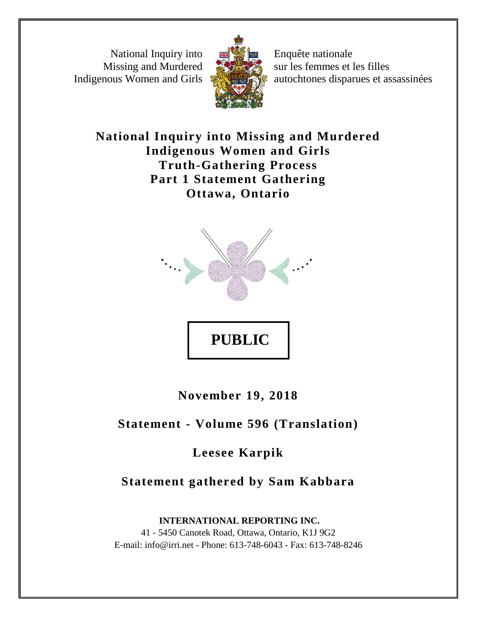National Inquiry into Missing and Murdered Indigenous Women and Girls



Enquête nationale sur les femmes et les filles autochtones disparues et assassinées

# **National Inquiry into Missing and Murdered Indigenous Women and Girls Truth-Gathering Process Part 1 Statement Gathering Ottawa, Ontario**



**November 19, 2018**

**Statement - Volume 596 (Translation)**

**Leesee Karpik**

**Statement gathered by Sam Kabbara**

**INTERNATIONAL REPORTING INC.** 41 - 5450 Canotek Road, Ottawa, Ontario, K1J 9G2 E-mail: info@irri.net - Phone: 613-748-6043 - Fax: 613-748-8246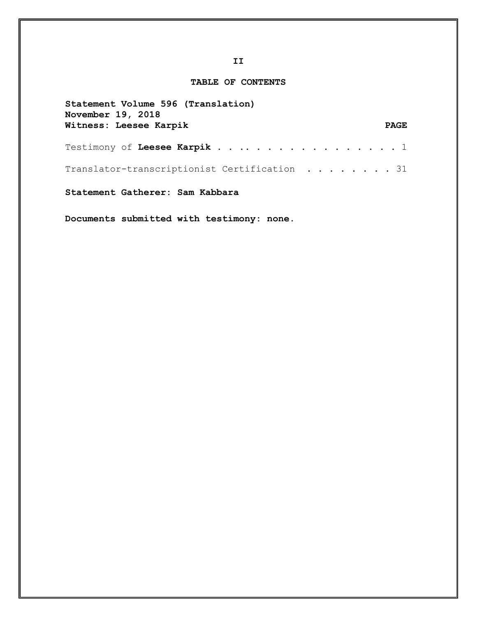# **TABLE OF CONTENTS**

| Statement Volume 596 (Translation)<br>November 19, 2018 |             |
|---------------------------------------------------------|-------------|
| Witness: Leesee Karpik                                  | <b>PAGE</b> |
| Testimony of Leesee Karpik 1                            |             |
| Translator-transcriptionist Certification 31            |             |
| Statement Gatherer: Sam Kabbara                         |             |

**Documents submitted with testimony: none.**

**II**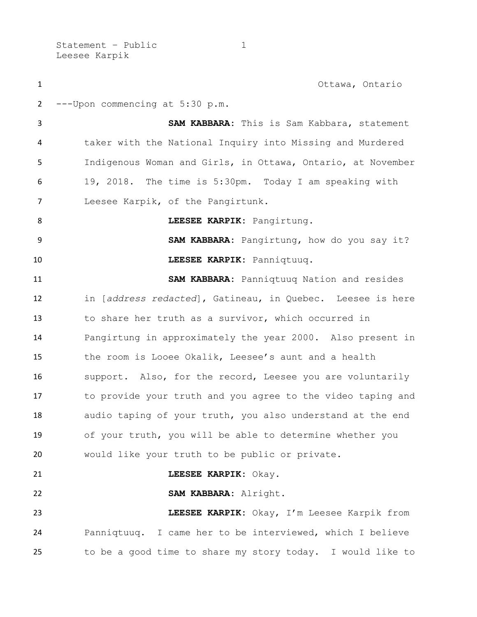Statement - Public 1 Leesee Karpik

 Ottawa, Ontario ---Upon commencing at 5:30 p.m. **SAM KABBARA:** This is Sam Kabbara, statement taker with the National Inquiry into Missing and Murdered Indigenous Woman and Girls, in Ottawa, Ontario, at November 19, 2018. The time is 5:30pm. Today I am speaking with Leesee Karpik, of the Pangirtunk. **LEESEE KARPIK:** Pangirtung. **SAM KABBARA:** Pangirtung, how do you say it? **LEESEE KARPIK:** Panniqtuuq. **SAM KABBARA:** Panniqtuuq Nation and resides in [*address redacted*], Gatineau, in Quebec. Leesee is here to share her truth as a survivor, which occurred in Pangirtung in approximately the year 2000. Also present in the room is Looee Okalik, Leesee's aunt and a health support. Also, for the record, Leesee you are voluntarily to provide your truth and you agree to the video taping and audio taping of your truth, you also understand at the end of your truth, you will be able to determine whether you would like your truth to be public or private. **LEESEE KARPIK:** Okay. **SAM KABBARA:** Alright. **LEESEE KARPIK:** Okay, I'm Leesee Karpik from Panniqtuuq. I came her to be interviewed, which I believe to be a good time to share my story today. I would like to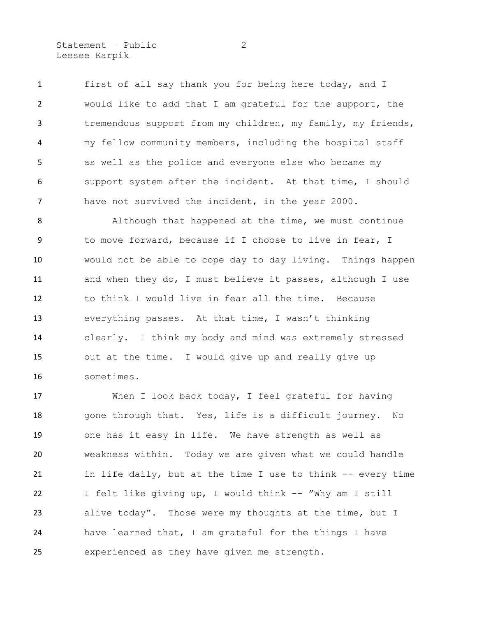Statement – Public 2 Leesee Karpik

 first of all say thank you for being here today, and I would like to add that I am grateful for the support, the tremendous support from my children, my family, my friends, my fellow community members, including the hospital staff as well as the police and everyone else who became my support system after the incident. At that time, I should have not survived the incident, in the year 2000.

 Although that happened at the time, we must continue to move forward, because if I choose to live in fear, I would not be able to cope day to day living. Things happen and when they do, I must believe it passes, although I use to think I would live in fear all the time. Because everything passes. At that time, I wasn't thinking clearly. I think my body and mind was extremely stressed out at the time. I would give up and really give up sometimes.

 When I look back today, I feel grateful for having gone through that. Yes, life is a difficult journey. No one has it easy in life. We have strength as well as weakness within. Today we are given what we could handle 21 in life daily, but at the time I use to think -- every time I felt like giving up, I would think -- "Why am I still alive today". Those were my thoughts at the time, but I have learned that, I am grateful for the things I have experienced as they have given me strength.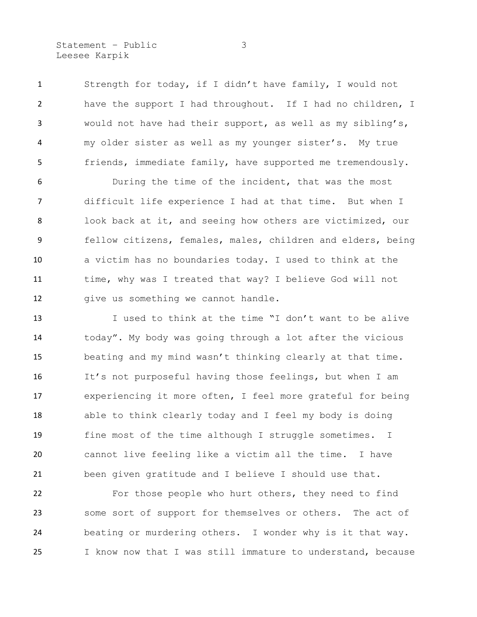Statement – Public 3 Leesee Karpik

 Strength for today, if I didn't have family, I would not have the support I had throughout. If I had no children, I would not have had their support, as well as my sibling's, my older sister as well as my younger sister's. My true friends, immediate family, have supported me tremendously.

 During the time of the incident, that was the most difficult life experience I had at that time. But when I look back at it, and seeing how others are victimized, our fellow citizens, females, males, children and elders, being a victim has no boundaries today. I used to think at the time, why was I treated that way? I believe God will not 12 give us something we cannot handle.

 I used to think at the time "I don't want to be alive today". My body was going through a lot after the vicious beating and my mind wasn't thinking clearly at that time. It's not purposeful having those feelings, but when I am experiencing it more often, I feel more grateful for being able to think clearly today and I feel my body is doing fine most of the time although I struggle sometimes. I cannot live feeling like a victim all the time. I have been given gratitude and I believe I should use that.

 For those people who hurt others, they need to find some sort of support for themselves or others. The act of beating or murdering others. I wonder why is it that way. I know now that I was still immature to understand, because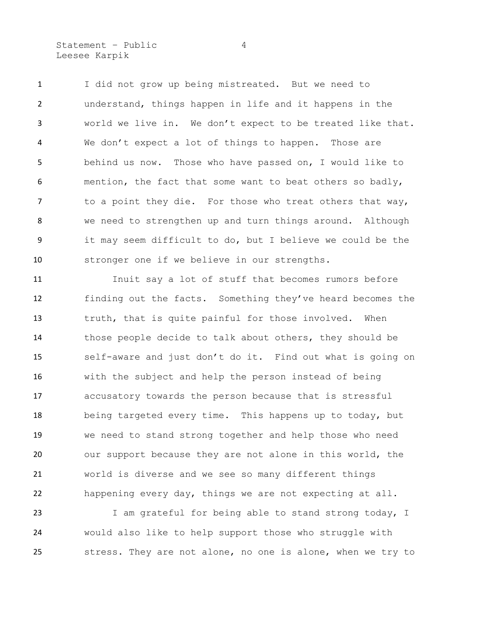Statement – Public 4 Leesee Karpik

 I did not grow up being mistreated. But we need to understand, things happen in life and it happens in the world we live in. We don't expect to be treated like that. We don't expect a lot of things to happen. Those are behind us now. Those who have passed on, I would like to mention, the fact that some want to beat others so badly, 7 to a point they die. For those who treat others that way, we need to strengthen up and turn things around. Although it may seem difficult to do, but I believe we could be the stronger one if we believe in our strengths.

 Inuit say a lot of stuff that becomes rumors before finding out the facts. Something they've heard becomes the truth, that is quite painful for those involved. When those people decide to talk about others, they should be self-aware and just don't do it. Find out what is going on with the subject and help the person instead of being accusatory towards the person because that is stressful being targeted every time. This happens up to today, but we need to stand strong together and help those who need our support because they are not alone in this world, the world is diverse and we see so many different things happening every day, things we are not expecting at all.

23 I am grateful for being able to stand strong today, I would also like to help support those who struggle with stress. They are not alone, no one is alone, when we try to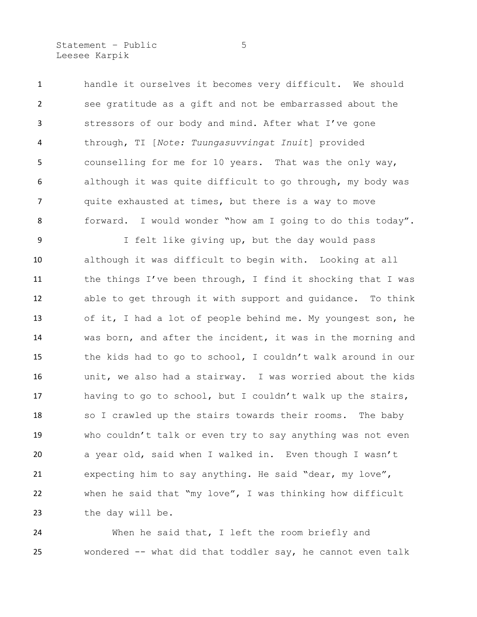Statement – Public 5 Leesee Karpik

 handle it ourselves it becomes very difficult. We should see gratitude as a gift and not be embarrassed about the stressors of our body and mind. After what I've gone through, TI [*Note: Tuungasuvvingat Inuit*] provided counselling for me for 10 years. That was the only way, although it was quite difficult to go through, my body was quite exhausted at times, but there is a way to move forward. I would wonder "how am I going to do this today".

 I felt like giving up, but the day would pass although it was difficult to begin with. Looking at all 11 the things I've been through, I find it shocking that I was able to get through it with support and guidance. To think of it, I had a lot of people behind me. My youngest son, he was born, and after the incident, it was in the morning and the kids had to go to school, I couldn't walk around in our unit, we also had a stairway. I was worried about the kids having to go to school, but I couldn't walk up the stairs, so I crawled up the stairs towards their rooms. The baby who couldn't talk or even try to say anything was not even a year old, said when I walked in. Even though I wasn't expecting him to say anything. He said "dear, my love", when he said that "my love", I was thinking how difficult the day will be.

 When he said that, I left the room briefly and wondered -- what did that toddler say, he cannot even talk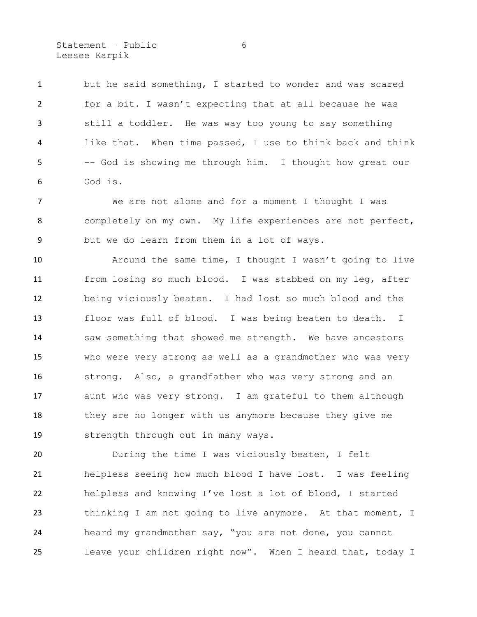Statement – Public 6 Leesee Karpik

 but he said something, I started to wonder and was scared for a bit. I wasn't expecting that at all because he was still a toddler. He was way too young to say something like that. When time passed, I use to think back and think -- God is showing me through him. I thought how great our God is.

 We are not alone and for a moment I thought I was completely on my own. My life experiences are not perfect, but we do learn from them in a lot of ways.

 Around the same time, I thought I wasn't going to live from losing so much blood. I was stabbed on my leg, after being viciously beaten. I had lost so much blood and the floor was full of blood. I was being beaten to death. I 14 saw something that showed me strength. We have ancestors who were very strong as well as a grandmother who was very strong. Also, a grandfather who was very strong and an aunt who was very strong. I am grateful to them although they are no longer with us anymore because they give me strength through out in many ways.

 During the time I was viciously beaten, I felt helpless seeing how much blood I have lost. I was feeling helpless and knowing I've lost a lot of blood, I started thinking I am not going to live anymore. At that moment, I heard my grandmother say, "you are not done, you cannot leave your children right now". When I heard that, today I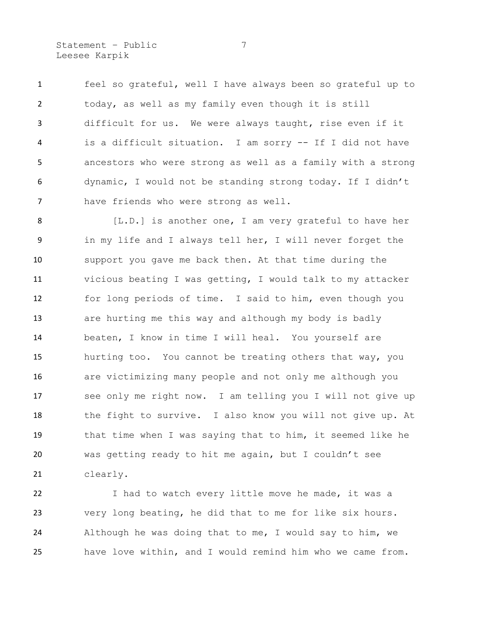Statement – Public 7 Leesee Karpik

 feel so grateful, well I have always been so grateful up to today, as well as my family even though it is still difficult for us. We were always taught, rise even if it is a difficult situation. I am sorry -- If I did not have ancestors who were strong as well as a family with a strong dynamic, I would not be standing strong today. If I didn't have friends who were strong as well.

8 [L.D.] is another one, I am very grateful to have her in my life and I always tell her, I will never forget the support you gave me back then. At that time during the vicious beating I was getting, I would talk to my attacker for long periods of time. I said to him, even though you are hurting me this way and although my body is badly beaten, I know in time I will heal. You yourself are hurting too. You cannot be treating others that way, you are victimizing many people and not only me although you see only me right now. I am telling you I will not give up 18 the fight to survive. I also know you will not give up. At that time when I was saying that to him, it seemed like he was getting ready to hit me again, but I couldn't see clearly.

 I had to watch every little move he made, it was a very long beating, he did that to me for like six hours. Although he was doing that to me, I would say to him, we have love within, and I would remind him who we came from.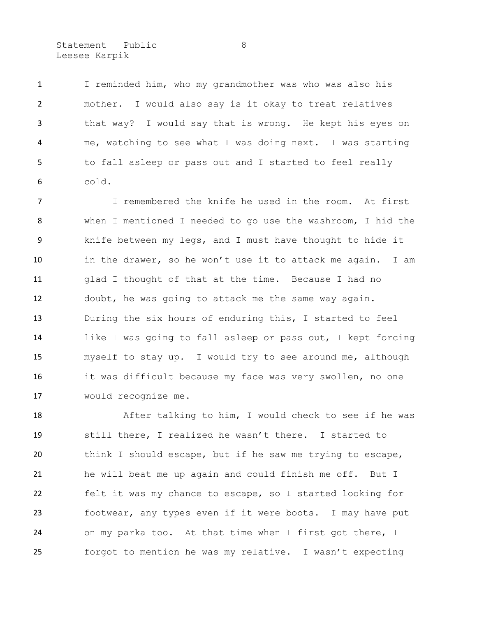Statement – Public 8 Leesee Karpik

 I reminded him, who my grandmother was who was also his mother. I would also say is it okay to treat relatives that way? I would say that is wrong. He kept his eyes on me, watching to see what I was doing next. I was starting to fall asleep or pass out and I started to feel really cold.

 I remembered the knife he used in the room. At first when I mentioned I needed to go use the washroom, I hid the knife between my legs, and I must have thought to hide it in the drawer, so he won't use it to attack me again. I am glad I thought of that at the time. Because I had no doubt, he was going to attack me the same way again. During the six hours of enduring this, I started to feel like I was going to fall asleep or pass out, I kept forcing myself to stay up. I would try to see around me, although it was difficult because my face was very swollen, no one would recognize me.

 After talking to him, I would check to see if he was still there, I realized he wasn't there. I started to think I should escape, but if he saw me trying to escape, he will beat me up again and could finish me off. But I felt it was my chance to escape, so I started looking for footwear, any types even if it were boots. I may have put on my parka too. At that time when I first got there, I forgot to mention he was my relative. I wasn't expecting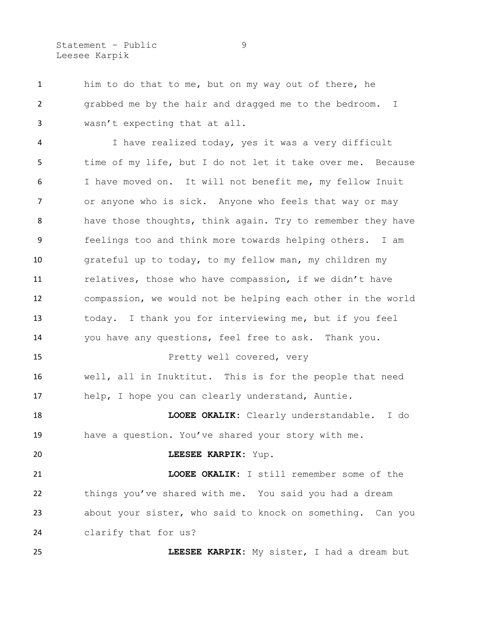Statement – Public 9 Leesee Karpik

 him to do that to me, but on my way out of there, he 2 grabbed me by the hair and dragged me to the bedroom. I wasn't expecting that at all.

 I have realized today, yes it was a very difficult time of my life, but I do not let it take over me. Because I have moved on. It will not benefit me, my fellow Inuit or anyone who is sick. Anyone who feels that way or may have those thoughts, think again. Try to remember they have feelings too and think more towards helping others. I am grateful up to today, to my fellow man, my children my 11 relatives, those who have compassion, if we didn't have compassion, we would not be helping each other in the world today. I thank you for interviewing me, but if you feel you have any questions, feel free to ask. Thank you. Pretty well covered, very

 well, all in Inuktitut. This is for the people that need help, I hope you can clearly understand, Auntie.

 **LOOEE OKALIK:** Clearly understandable. I do have a question. You've shared your story with me.

### **LEESEE KARPIK:** Yup.

 **LOOEE OKALIK:** I still remember some of the things you've shared with me. You said you had a dream about your sister, who said to knock on something. Can you clarify that for us?

**LEESEE KARPIK:** My sister, I had a dream but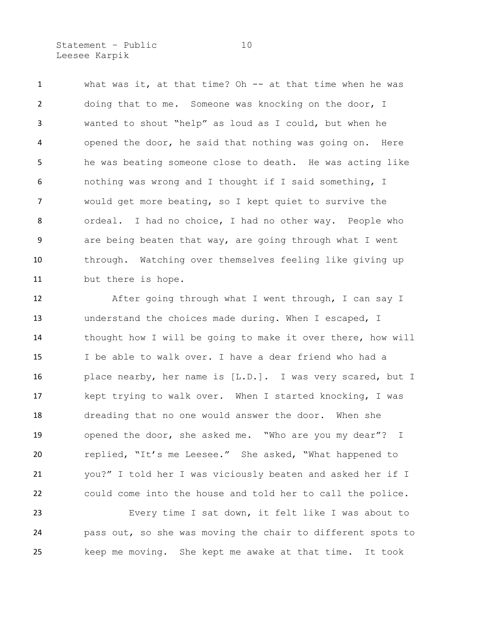Statement - Public 10 Leesee Karpik

 what was it, at that time? Oh -- at that time when he was doing that to me. Someone was knocking on the door, I wanted to shout "help" as loud as I could, but when he opened the door, he said that nothing was going on. Here he was beating someone close to death. He was acting like nothing was wrong and I thought if I said something, I would get more beating, so I kept quiet to survive the ordeal. I had no choice, I had no other way. People who are being beaten that way, are going through what I went through. Watching over themselves feeling like giving up but there is hope.

12 After going through what I went through, I can say I understand the choices made during. When I escaped, I thought how I will be going to make it over there, how will I be able to walk over. I have a dear friend who had a place nearby, her name is [L.D.]. I was very scared, but I kept trying to walk over. When I started knocking, I was dreading that no one would answer the door. When she opened the door, she asked me. "Who are you my dear"? I replied, "It's me Leesee." She asked, "What happened to you?" I told her I was viciously beaten and asked her if I could come into the house and told her to call the police.

 Every time I sat down, it felt like I was about to pass out, so she was moving the chair to different spots to keep me moving. She kept me awake at that time. It took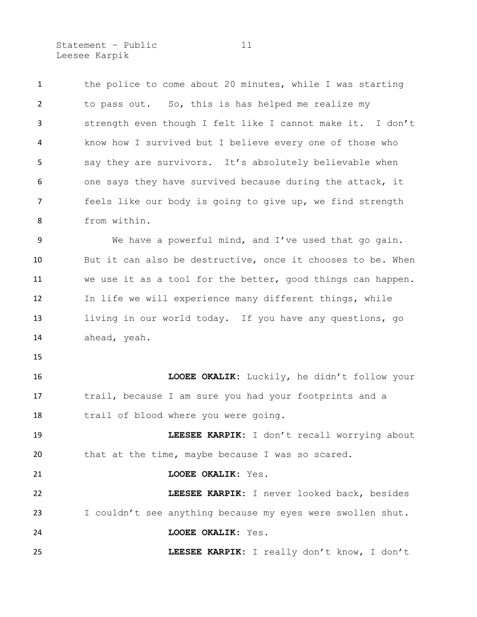Statement - Public 11 Leesee Karpik

1 the police to come about 20 minutes, while I was starting to pass out. So, this is has helped me realize my strength even though I felt like I cannot make it. I don't know how I survived but I believe every one of those who say they are survivors. It's absolutely believable when one says they have survived because during the attack, it feels like our body is going to give up, we find strength from within.

 We have a powerful mind, and I've used that go gain. But it can also be destructive, once it chooses to be. When we use it as a tool for the better, good things can happen. In life we will experience many different things, while living in our world today. If you have any questions, go ahead, yeah.

 **LOOEE OKALIK:** Luckily, he didn't follow your trail, because I am sure you had your footprints and a trail of blood where you were going.

 **LEESEE KARPIK:** I don't recall worrying about that at the time, maybe because I was so scared.

**LOOEE OKALIK:** Yes.

 **LEESEE KARPIK:** I never looked back, besides I couldn't see anything because my eyes were swollen shut. **LOOEE OKALIK:** Yes.

**LEESEE KARPIK:** I really don't know, I don't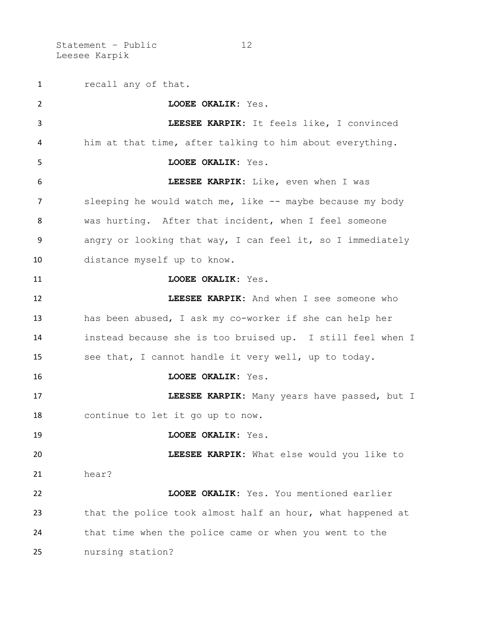Statement - Public 12 Leesee Karpik

 recall any of that. **LOOEE OKALIK:** Yes. **LEESEE KARPIK:** It feels like, I convinced him at that time, after talking to him about everything. **LOOEE OKALIK:** Yes. **LEESEE KARPIK:** Like, even when I was 7 sleeping he would watch me, like -- maybe because my body was hurting. After that incident, when I feel someone angry or looking that way, I can feel it, so I immediately distance myself up to know. **LOOEE OKALIK**: Yes. **LEESEE KARPIK:** And when I see someone who has been abused, I ask my co-worker if she can help her instead because she is too bruised up. I still feel when I see that, I cannot handle it very well, up to today. **LOOEE OKALIK:** Yes. **LEESEE KARPIK:** Many years have passed, but I continue to let it go up to now. **LOOEE OKALIK:** Yes. **LEESEE KARPIK:** What else would you like to hear? **LOOEE OKALIK:** Yes. You mentioned earlier that the police took almost half an hour, what happened at that time when the police came or when you went to the nursing station?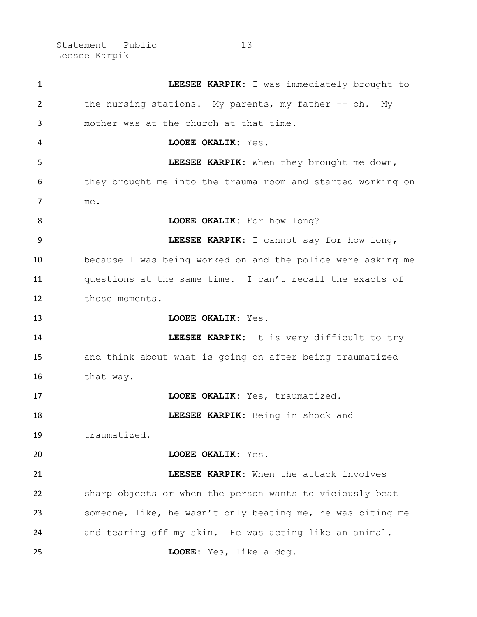Statement – Public 13 Leesee Karpik

| 1  | LEESEE KARPIK: I was immediately brought to                 |
|----|-------------------------------------------------------------|
| 2  | the nursing stations. My parents, my father -- oh. My       |
| 3  | mother was at the church at that time.                      |
| 4  | LOOEE OKALIK: Yes.                                          |
| 5  | LEESEE KARPIK: When they brought me down,                   |
| 6  | they brought me into the trauma room and started working on |
| 7  | me.                                                         |
| 8  | LOOEE OKALIK: For how long?                                 |
| 9  | LEESEE KARPIK: I cannot say for how long,                   |
| 10 | because I was being worked on and the police were asking me |
| 11 | questions at the same time. I can't recall the exacts of    |
| 12 | those moments.                                              |
| 13 | LOOEE OKALIK: Yes.                                          |
| 14 | LEESEE KARPIK: It is very difficult to try                  |
| 15 | and think about what is going on after being traumatized    |
| 16 | that way.                                                   |
| 17 | LOOEE OKALIK: Yes, traumatized.                             |
| 18 | LEESEE KARPIK: Being in shock and                           |
| 19 | traumatized.                                                |
| 20 | LOOEE OKALIK: Yes.                                          |
| 21 | LEESEE KARPIK: When the attack involves                     |
| 22 | sharp objects or when the person wants to viciously beat    |
| 23 | someone, like, he wasn't only beating me, he was biting me  |
| 24 | and tearing off my skin. He was acting like an animal.      |
| 25 | LOOEE: Yes, like a dog.                                     |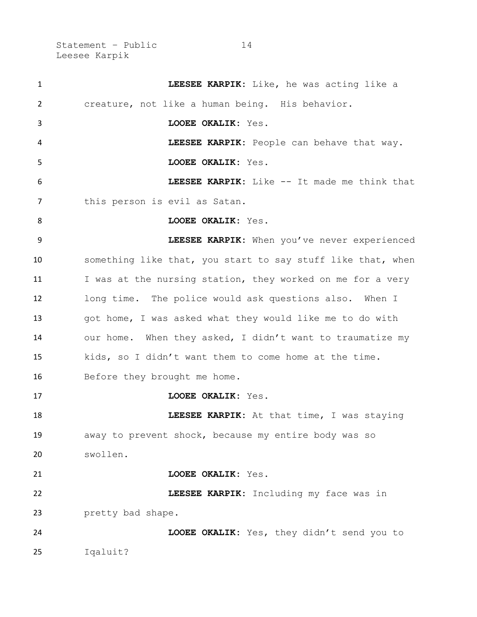Statement – Public 14 Leesee Karpik

| $\mathbf{1}$ | LEESEE KARPIK: Like, he was acting like a                   |
|--------------|-------------------------------------------------------------|
| 2            | creature, not like a human being. His behavior.             |
| 3            | LOOEE OKALIK: Yes.                                          |
| 4            | LEESEE KARPIK: People can behave that way.                  |
| 5            | LOOEE OKALIK: Yes.                                          |
| 6            | LEESEE KARPIK: Like -- It made me think that                |
| 7            | this person is evil as Satan.                               |
| 8            | LOOEE OKALIK: Yes.                                          |
| 9            | LEESEE KARPIK: When you've never experienced                |
| 10           | something like that, you start to say stuff like that, when |
| 11           | I was at the nursing station, they worked on me for a very  |
| 12           | long time. The police would ask questions also. When I      |
| 13           | got home, I was asked what they would like me to do with    |
| 14           | our home. When they asked, I didn't want to traumatize my   |
| 15           | kids, so I didn't want them to come home at the time.       |
| 16           | Before they brought me home.                                |
| 17           | LOOEE OKALIK: Yes.                                          |
| 18           | LEESEE KARPIK: At that time, I was staying                  |
| 19           | away to prevent shock, because my entire body was so        |
| 20           | swollen.                                                    |
| 21           | LOOEE OKALIK: Yes.                                          |
| 22           | LEESEE KARPIK: Including my face was in                     |
| 23           | pretty bad shape.                                           |
| 24           | LOOEE OKALIK: Yes, they didn't send you to                  |
| 25           | Iqaluit?                                                    |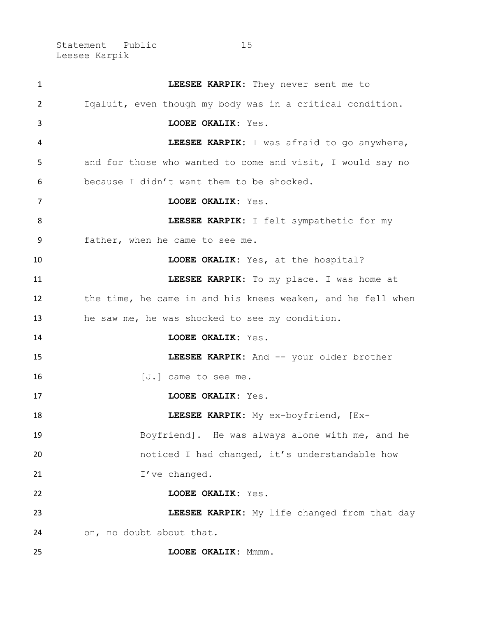Statement – Public 15 Leesee Karpik

| 1  | LEESEE KARPIK: They never sent me to                        |
|----|-------------------------------------------------------------|
| 2  | Igaluit, even though my body was in a critical condition.   |
| 3  | LOOEE OKALIK: Yes.                                          |
| 4  | LEESEE KARPIK: I was afraid to go anywhere,                 |
| 5  | and for those who wanted to come and visit, I would say no  |
| 6  | because I didn't want them to be shocked.                   |
| 7  | LOOEE OKALIK: Yes.                                          |
| 8  | LEESEE KARPIK: I felt sympathetic for my                    |
| 9  | father, when he came to see me.                             |
| 10 | LOOEE OKALIK: Yes, at the hospital?                         |
| 11 | LEESEE KARPIK: To my place. I was home at                   |
| 12 | the time, he came in and his knees weaken, and he fell when |
| 13 | he saw me, he was shocked to see my condition.              |
| 14 | LOOEE OKALIK: Yes.                                          |
| 15 | LEESEE KARPIK: And -- your older brother                    |
| 16 | $[J.]$ came to see me.                                      |
| 17 | LOOEE OKALIK: Yes.                                          |
| 18 | LEESEE KARPIK: My ex-boyfriend, [Ex-                        |
| 19 | Boyfriend]. He was always alone with me, and he             |
| 20 | noticed I had changed, it's understandable how              |
| 21 | I've changed.                                               |
| 22 | LOOEE OKALIK: Yes.                                          |
| 23 | LEESEE KARPIK: My life changed from that day                |
| 24 | on, no doubt about that.                                    |
| 25 | LOOEE OKALIK: Mmmm.                                         |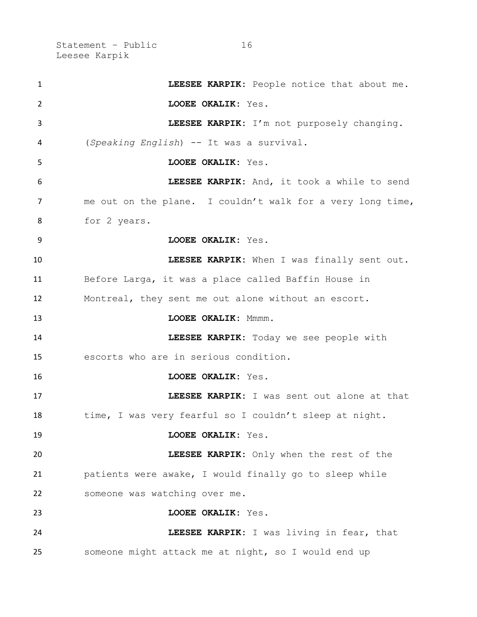Statement – Public 16 Leesee Karpik

| $\mathbf{1}$   | LEESEE KARPIK: People notice that about me.                |
|----------------|------------------------------------------------------------|
| $\overline{2}$ | LOOEE OKALIK: Yes.                                         |
| 3              | LEESEE KARPIK: I'm not purposely changing.                 |
| 4              | (Speaking English) -- It was a survival.                   |
| 5              | LOOEE OKALIK: Yes.                                         |
| 6              | LEESEE KARPIK: And, it took a while to send                |
| 7              | me out on the plane. I couldn't walk for a very long time, |
| 8              | for 2 years.                                               |
| 9              | LOOEE OKALIK: Yes.                                         |
| 10             | LEESEE KARPIK: When I was finally sent out.                |
| 11             | Before Larga, it was a place called Baffin House in        |
| 12             | Montreal, they sent me out alone without an escort.        |
| 13             | LOOEE OKALIK: Mmmm.                                        |
| 14             | LEESEE KARPIK: Today we see people with                    |
| 15             | escorts who are in serious condition.                      |
| 16             | LOOEE OKALIK: Yes.                                         |
| 17             | LEESEE KARPIK: I was sent out alone at that                |
| 18             | time, I was very fearful so I couldn't sleep at night.     |
| 19             | LOOEE OKALIK: Yes.                                         |
| 20             | LEESEE KARPIK: Only when the rest of the                   |
| 21             | patients were awake, I would finally go to sleep while     |
| 22             | someone was watching over me.                              |
| 23             | LOOEE OKALIK: Yes.                                         |
| 24             | LEESEE KARPIK: I was living in fear, that                  |
| 25             | someone might attack me at night, so I would end up        |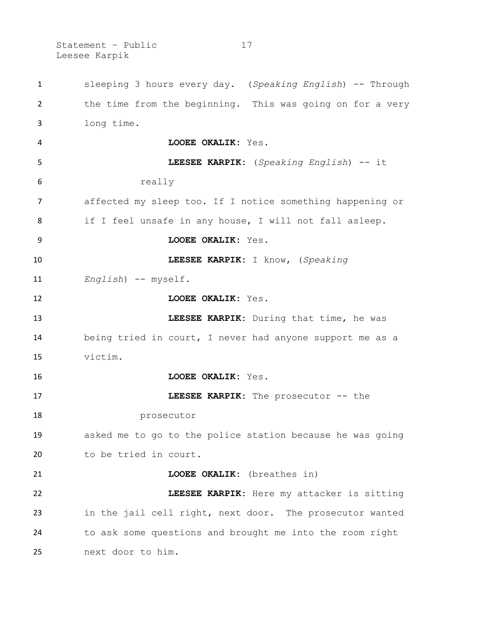Statement - Public 17 Leesee Karpik

 sleeping 3 hours every day. (*Speaking English*) -- Through the time from the beginning. This was going on for a very long time. **LOOEE OKALIK:** Yes. **LEESEE KARPIK:** (*Speaking English*) -- it really affected my sleep too. If I notice something happening or if I feel unsafe in any house, I will not fall asleep. **LOOEE OKALIK:** Yes. **LEESEE KARPIK:** I know, (*Speaking English*) -- myself. **LOOEE OKALIK:** Yes. **LEESEE KARPIK:** During that time, he was being tried in court, I never had anyone support me as a victim. **LOOEE OKALIK:** Yes. **LEESEE KARPIK:** The prosecutor -- the prosecutor asked me to go to the police station because he was going to be tried in court. **LOOEE OKALIK:** (breathes in) **LEESEE KARPIK:** Here my attacker is sitting in the jail cell right, next door. The prosecutor wanted to ask some questions and brought me into the room right next door to him.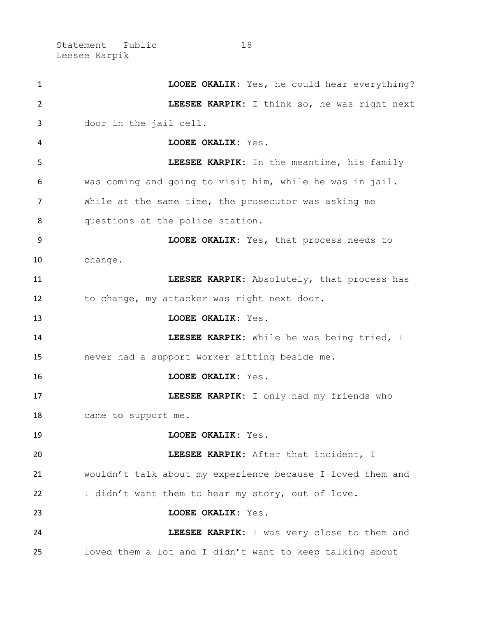Statement - Public 18 Leesee Karpik

 **LOOEE OKALIK:** Yes, he could hear everything? **LEESEE KARPIK:** I think so, he was right next door in the jail cell. **LOOEE OKALIK:** Yes. **LEESEE KARPIK:** In the meantime, his family was coming and going to visit him, while he was in jail. While at the same time, the prosecutor was asking me questions at the police station. **LOOEE OKALIK:** Yes, that process needs to change. **LEESEE KARPIK:** Absolutely, that process has to change, my attacker was right next door. **LOOEE OKALIK:** Yes. **LEESEE KARPIK:** While he was being tried, I never had a support worker sitting beside me. **LOOEE OKALIK:** Yes. **LEESEE KARPIK:** I only had my friends who came to support me. **LOOEE OKALIK:** Yes. **LEESEE KARPIK:** After that incident, I wouldn't talk about my experience because I loved them and 22 I didn't want them to hear my story, out of love. **LOOEE OKALIK:** Yes. **LEESEE KARPIK:** I was very close to them and loved them a lot and I didn't want to keep talking about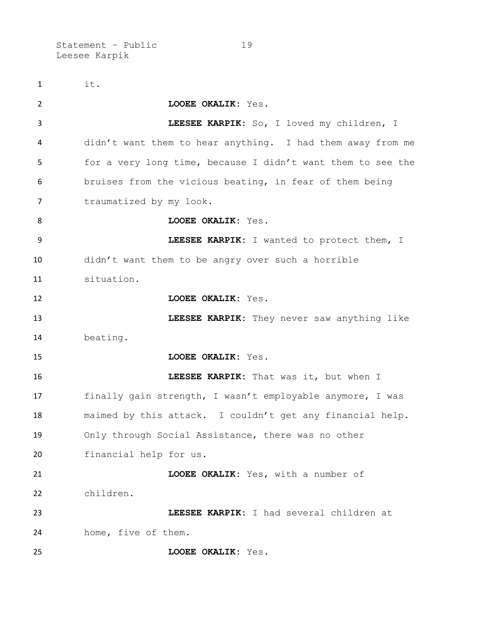Statement - Public 19 Leesee Karpik

 it. **LOOEE OKALIK:** Yes. **LEESEE KARPIK:** So, I loved my children, I didn't want them to hear anything. I had them away from me for a very long time, because I didn't want them to see the bruises from the vicious beating, in fear of them being 7 traumatized by my look. **LOOEE OKALIK:** Yes. **LEESEE KARPIK:** I wanted to protect them, I didn't want them to be angry over such a horrible situation. **LOOEE OKALIK:** Yes. **LEESEE KARPIK:** They never saw anything like beating. **LOOEE OKALIK:** Yes. **LEESEE KARPIK:** That was it, but when I finally gain strength, I wasn't employable anymore, I was maimed by this attack. I couldn't get any financial help. Only through Social Assistance, there was no other financial help for us. **LOOEE OKALIK:** Yes, with a number of children. **LEESEE KARPIK:** I had several children at home, five of them. **LOOEE OKALIK:** Yes.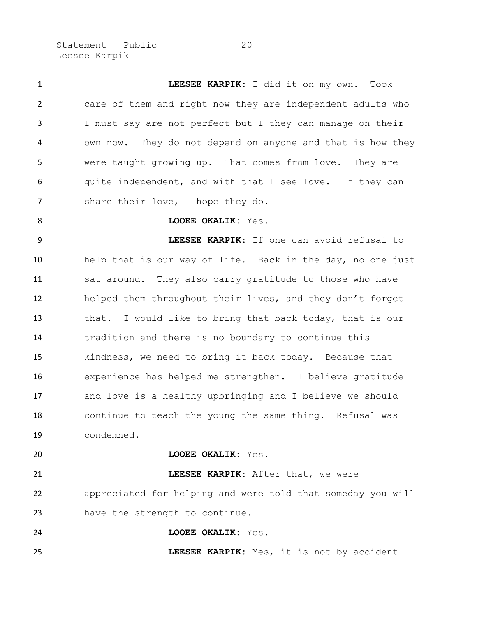Statement - Public 20 Leesee Karpik

 **LEESEE KARPIK:** I did it on my own. Took care of them and right now they are independent adults who I must say are not perfect but I they can manage on their own now. They do not depend on anyone and that is how they were taught growing up. That comes from love. They are quite independent, and with that I see love. If they can 7 share their love, I hope they do. **LOOEE OKALIK:** Yes. **LEESEE KARPIK:** If one can avoid refusal to help that is our way of life. Back in the day, no one just sat around. They also carry gratitude to those who have helped them throughout their lives, and they don't forget that. I would like to bring that back today, that is our tradition and there is no boundary to continue this kindness, we need to bring it back today. Because that experience has helped me strengthen. I believe gratitude and love is a healthy upbringing and I believe we should continue to teach the young the same thing. Refusal was condemned. **LOOEE OKALIK:** Yes. **LEESEE KARPIK:** After that, we were appreciated for helping and were told that someday you will have the strength to continue. **LOOEE OKALIK:** Yes.

**LEESEE KARPIK:** Yes, it is not by accident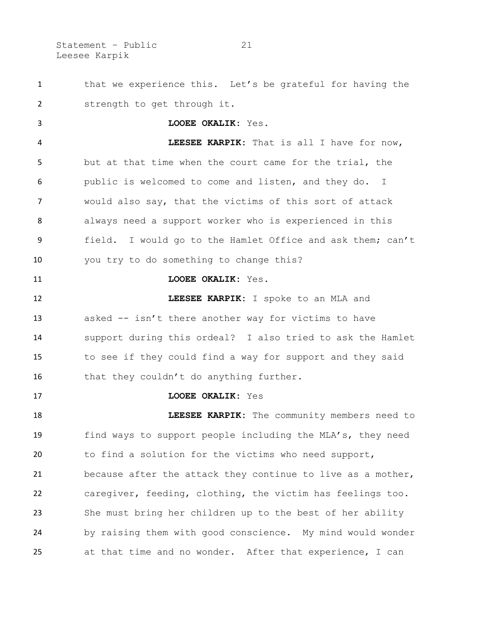Statement - Public 21 Leesee Karpik

1 that we experience this. Let's be grateful for having the strength to get through it.

 **LOOEE OKALIK:** Yes. **LEESEE KARPIK:** That is all I have for now, but at that time when the court came for the trial, the public is welcomed to come and listen, and they do. I would also say, that the victims of this sort of attack always need a support worker who is experienced in this field. I would go to the Hamlet Office and ask them; can't you try to do something to change this?

**LOOEE OKALIK:** Yes.

 **LEESEE KARPIK:** I spoke to an MLA and asked -- isn't there another way for victims to have support during this ordeal? I also tried to ask the Hamlet to see if they could find a way for support and they said 16 that they couldn't do anything further.

**LOOEE OKALIK:** Yes

**LEESEE KARPIK:** The community members need to find ways to support people including the MLA's, they need to find a solution for the victims who need support, because after the attack they continue to live as a mother, caregiver, feeding, clothing, the victim has feelings too. She must bring her children up to the best of her ability by raising them with good conscience. My mind would wonder at that time and no wonder. After that experience, I can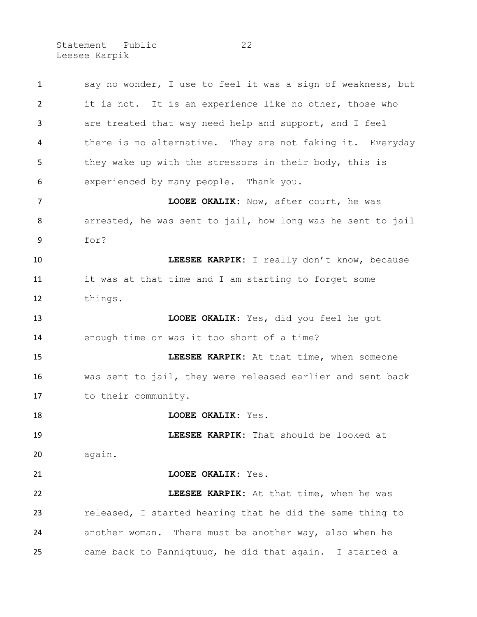Statement - Public 22 Leesee Karpik

 say no wonder, I use to feel it was a sign of weakness, but it is not. It is an experience like no other, those who are treated that way need help and support, and I feel there is no alternative. They are not faking it. Everyday they wake up with the stressors in their body, this is experienced by many people. Thank you. **LOOEE OKALIK:** Now, after court, he was arrested, he was sent to jail, how long was he sent to jail for? **LEESEE KARPIK:** I really don't know, because it was at that time and I am starting to forget some things. **LOOEE OKALIK:** Yes, did you feel he got enough time or was it too short of a time? **LEESEE KARPIK:** At that time, when someone was sent to jail, they were released earlier and sent back to their community. **LOOEE OKALIK:** Yes. **LEESEE KARPIK:** That should be looked at again. **LOOEE OKALIK:** Yes. **LEESEE KARPIK:** At that time, when he was released, I started hearing that he did the same thing to another woman. There must be another way, also when he came back to Panniqtuuq, he did that again. I started a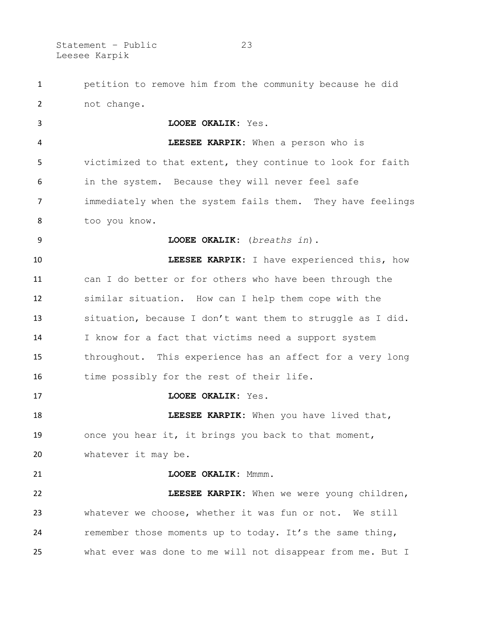Statement – Public 23 Leesee Karpik

 petition to remove him from the community because he did not change.

 **LOOEE OKALIK:** Yes. **LEESEE KARPIK:** When a person who is victimized to that extent, they continue to look for faith in the system. Because they will never feel safe immediately when the system fails them. They have feelings too you know. **LOOEE OKALIK:** (*breaths in*). **LEESEE KARPIK:** I have experienced this, how can I do better or for others who have been through the similar situation. How can I help them cope with the situation, because I don't want them to struggle as I did. I know for a fact that victims need a support system throughout. This experience has an affect for a very long 16 time possibly for the rest of their life. **LOOEE OKALIK:** Yes.

**LEESEE KARPIK:** When you have lived that, once you hear it, it brings you back to that moment, whatever it may be.

**LOOEE OKALIK:** Mmmm. **LEESEE KARPIK:** When we were young children, whatever we choose, whether it was fun or not. We still remember those moments up to today. It's the same thing, what ever was done to me will not disappear from me. But I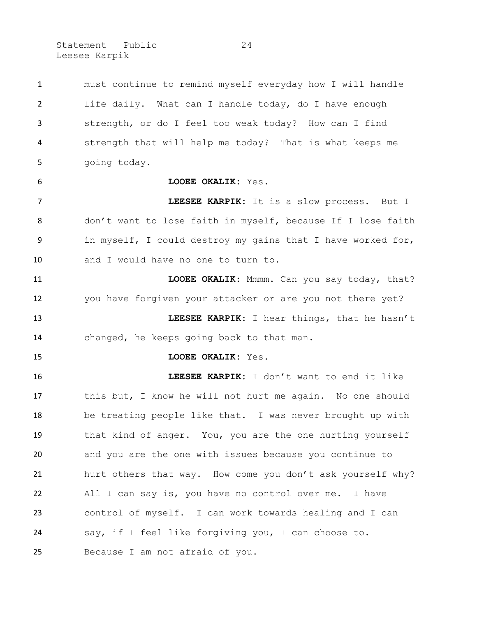Statement - Public 24 Leesee Karpik

 must continue to remind myself everyday how I will handle life daily. What can I handle today, do I have enough strength, or do I feel too weak today? How can I find strength that will help me today? That is what keeps me going today. **LOOEE OKALIK:** Yes. **LEESEE KARPIK:** It is a slow process. But I don't want to lose faith in myself, because If I lose faith in myself, I could destroy my gains that I have worked for, and I would have no one to turn to. **LOOEE OKALIK:** Mmmm. Can you say today, that? you have forgiven your attacker or are you not there yet? **LEESEE KARPIK:** I hear things, that he hasn't changed, he keeps going back to that man. **LOOEE OKALIK:** Yes. **LEESEE KARPIK:** I don't want to end it like this but, I know he will not hurt me again. No one should be treating people like that. I was never brought up with that kind of anger. You, you are the one hurting yourself and you are the one with issues because you continue to hurt others that way. How come you don't ask yourself why? All I can say is, you have no control over me. I have control of myself. I can work towards healing and I can say, if I feel like forgiving you, I can choose to. Because I am not afraid of you.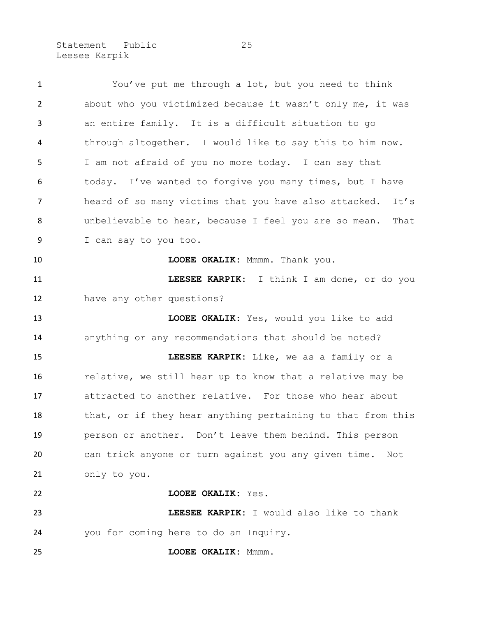Statement - Public 25 Leesee Karpik

 You've put me through a lot, but you need to think about who you victimized because it wasn't only me, it was an entire family. It is a difficult situation to go through altogether. I would like to say this to him now. I am not afraid of you no more today. I can say that today. I've wanted to forgive you many times, but I have 7 heard of so many victims that you have also attacked. It's unbelievable to hear, because I feel you are so mean. That I can say to you too. **LOOEE OKALIK:** Mmmm. Thank you. **LEESEE KARPIK:** I think I am done, or do you have any other questions? **LOOEE OKALIK:** Yes, would you like to add anything or any recommendations that should be noted? **LEESEE KARPIK:** Like, we as a family or a relative, we still hear up to know that a relative may be attracted to another relative. For those who hear about 18 that, or if they hear anything pertaining to that from this person or another. Don't leave them behind. This person can trick anyone or turn against you any given time. Not only to you. **LOOEE OKALIK:** Yes. **LEESEE KARPIK:** I would also like to thank you for coming here to do an Inquiry. **LOOEE OKALIK:** Mmmm.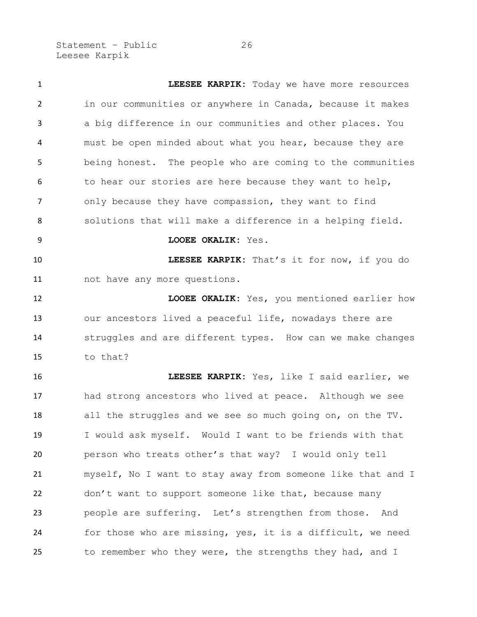Statement - Public 26 Leesee Karpik

 **LEESEE KARPIK:** Today we have more resources in our communities or anywhere in Canada, because it makes a big difference in our communities and other places. You must be open minded about what you hear, because they are being honest. The people who are coming to the communities 6 to hear our stories are here because they want to help, only because they have compassion, they want to find solutions that will make a difference in a helping field. **LOOEE OKALIK:** Yes. **LEESEE KARPIK:** That's it for now, if you do not have any more questions. **LOOEE OKALIK:** Yes, you mentioned earlier how our ancestors lived a peaceful life, nowadays there are struggles and are different types. How can we make changes to that? **LEESEE KARPIK:** Yes, like I said earlier, we had strong ancestors who lived at peace. Although we see all the struggles and we see so much going on, on the TV. I would ask myself. Would I want to be friends with that person who treats other's that way? I would only tell myself, No I want to stay away from someone like that and I don't want to support someone like that, because many people are suffering. Let's strengthen from those. And for those who are missing, yes, it is a difficult, we need to remember who they were, the strengths they had, and I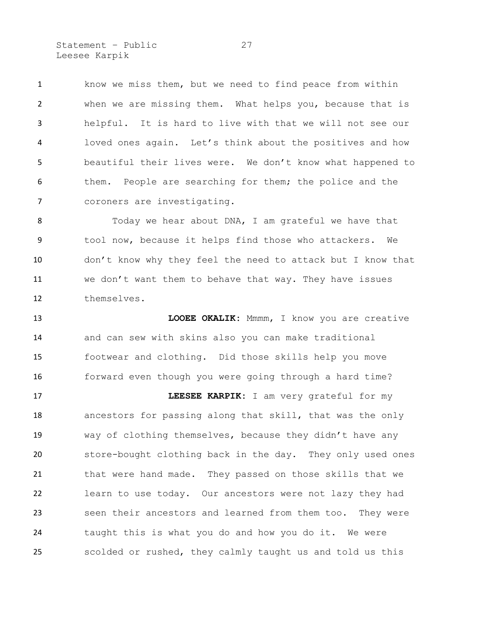Statement - Public 27 Leesee Karpik

 know we miss them, but we need to find peace from within when we are missing them. What helps you, because that is helpful. It is hard to live with that we will not see our loved ones again. Let's think about the positives and how beautiful their lives were. We don't know what happened to them. People are searching for them; the police and the coroners are investigating.

8 Today we hear about DNA, I am grateful we have that tool now, because it helps find those who attackers. We don't know why they feel the need to attack but I know that we don't want them to behave that way. They have issues themselves.

 **LOOEE OKALIK:** Mmmm, I know you are creative and can sew with skins also you can make traditional footwear and clothing. Did those skills help you move 16 forward even though you were going through a hard time? **LEESEE KARPIK:** I am very grateful for my ancestors for passing along that skill, that was the only way of clothing themselves, because they didn't have any store-bought clothing back in the day. They only used ones that were hand made. They passed on those skills that we learn to use today. Our ancestors were not lazy they had seen their ancestors and learned from them too. They were taught this is what you do and how you do it. We were scolded or rushed, they calmly taught us and told us this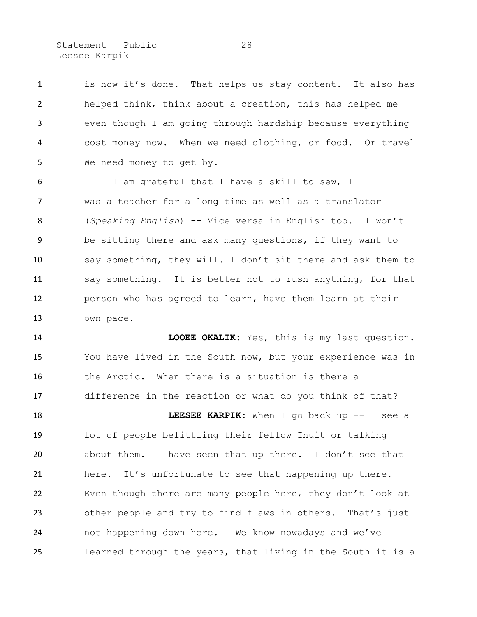Statement - Public 28 Leesee Karpik

 is how it's done. That helps us stay content. It also has helped think, think about a creation, this has helped me even though I am going through hardship because everything cost money now. When we need clothing, or food. Or travel We need money to get by.

 I am grateful that I have a skill to sew, I was a teacher for a long time as well as a translator (*Speaking English*) -- Vice versa in English too. I won't be sitting there and ask many questions, if they want to say something, they will. I don't sit there and ask them to say something. It is better not to rush anything, for that person who has agreed to learn, have them learn at their own pace.

 **LOOEE OKALIK:** Yes, this is my last question. You have lived in the South now, but your experience was in the Arctic. When there is a situation is there a difference in the reaction or what do you think of that?

**LEESEE KARPIK:** When I go back up -- I see a lot of people belittling their fellow Inuit or talking about them. I have seen that up there. I don't see that 21 here. It's unfortunate to see that happening up there. Even though there are many people here, they don't look at other people and try to find flaws in others. That's just not happening down here. We know nowadays and we've learned through the years, that living in the South it is a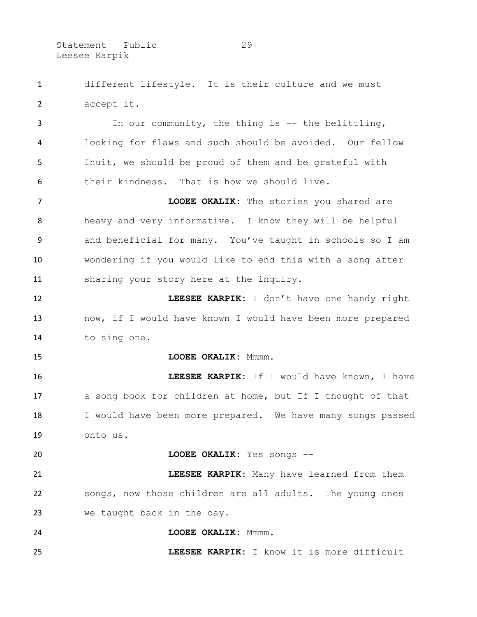Statement - Public 29 Leesee Karpik

 different lifestyle. It is their culture and we must accept it.

 In our community, the thing is -- the belittling, looking for flaws and such should be avoided. Our fellow Inuit, we should be proud of them and be grateful with their kindness. That is how we should live.

 **LOOEE OKALIK:** The stories you shared are heavy and very informative. I know they will be helpful and beneficial for many. You've taught in schools so I am wondering if you would like to end this with a song after sharing your story here at the inquiry.

 **LEESEE KARPIK:** I don't have one handy right now, if I would have known I would have been more prepared to sing one.

**LOOEE OKALIK:** Mmmm.

 **LEESEE KARPIK:** If I would have known, I have a song book for children at home, but If I thought of that 18 I would have been more prepared. We have many songs passed onto us.

**LOOEE OKALIK:** Yes songs --

 **LEESEE KARPIK:** Many have learned from them songs, now those children are all adults. The young ones we taught back in the day.

**LOOEE OKALIK:** Mmmm.

**LEESEE KARPIK:** I know it is more difficult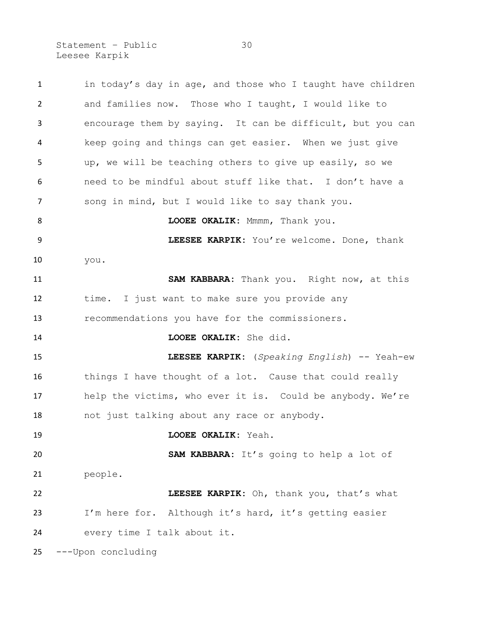Statement - Public 30 Leesee Karpik

1 in today's day in age, and those who I taught have children and families now. Those who I taught, I would like to encourage them by saying. It can be difficult, but you can keep going and things can get easier. When we just give up, we will be teaching others to give up easily, so we need to be mindful about stuff like that. I don't have a song in mind, but I would like to say thank you. **LOOEE OKALIK:** Mmmm, Thank you. **LEESEE KARPIK:** You're welcome. Done, thank you. **SAM KABBARA:** Thank you. Right now, at this time. I just want to make sure you provide any recommendations you have for the commissioners. **LOOEE OKALIK:** She did. **LEESEE KARPIK:** (*Speaking English*) -- Yeah-ew things I have thought of a lot. Cause that could really help the victims, who ever it is. Could be anybody. We're not just talking about any race or anybody. **LOOEE OKALIK:** Yeah. **SAM KABBARA:** It's going to help a lot of people. **LEESEE KARPIK:** Oh, thank you, that's what I'm here for. Although it's hard, it's getting easier every time I talk about it. ---Upon concluding